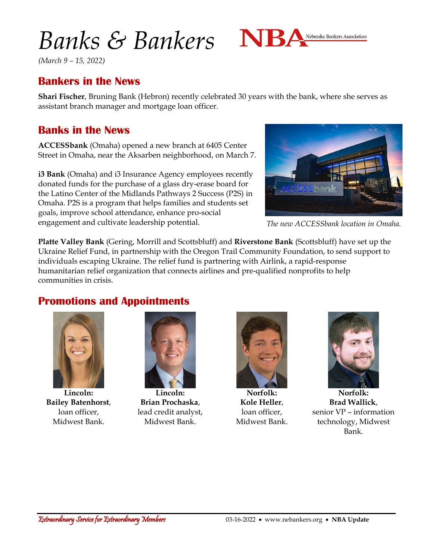# *Banks & Bankers*



*(March 9 – 15, 2022)*

## **Bankers in the News**

**Shari Fischer**, Bruning Bank (Hebron) recently celebrated 30 years with the bank, where she serves as assistant branch manager and mortgage loan officer.

## **Banks in the News**

**ACCESSbank** (Omaha) opened a new branch at 6405 Center Street in Omaha, near the Aksarben neighborhood, on March 7.

**i3 Bank** (Omaha) and i3 Insurance Agency employees recently donated funds for the purchase of a glass dry-erase board for the Latino Center of the Midlands Pathways 2 Success (P2S) in Omaha. P2S is a program that helps families and students set goals, improve school attendance, enhance pro-social engagement and cultivate leadership potential.



*The new ACCESSbank location in Omaha.*

**Platte Valley Bank** (Gering, Morrill and Scottsbluff) and **Riverstone Bank** (Scottsbluff) have set up the Ukraine Relief Fund, in partnership with the Oregon Trail Community Foundation, to send support to individuals escaping Ukraine. The relief fund is partnering with Airlink, a rapid-response humanitarian relief organization that connects airlines and pre-qualified nonprofits to help communities in crisis.

### **Promotions and Appointments**



**Lincoln: Bailey Batenhorst**, loan officer, Midwest Bank.



**Lincoln: Brian Prochaska**, lead credit analyst, Midwest Bank.



**Norfolk: Kole Heller**, loan officer, Midwest Bank.



**Norfolk: Brad Wallick**, senior VP – information technology, Midwest Bank.